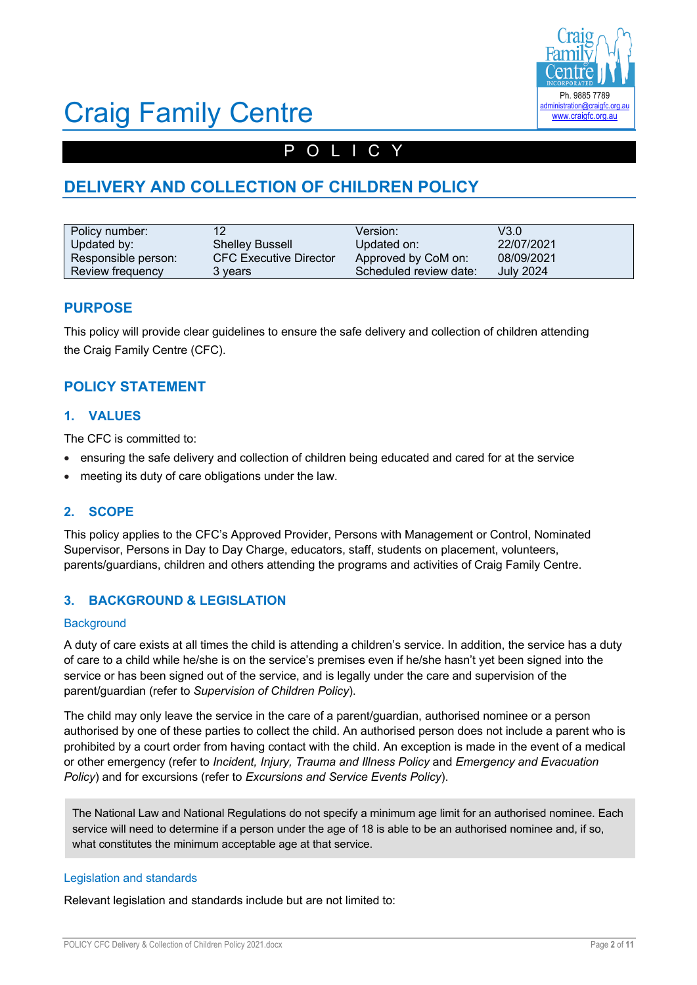

# Craig Family Centre

# POLICY

# **DELIVERY AND COLLECTION OF CHILDREN POLICY**

| Policy number:      | 12                            | Version:               | V3.0             |
|---------------------|-------------------------------|------------------------|------------------|
| Updated by:         | <b>Shelley Bussell</b>        | Updated on:            | 22/07/2021       |
| Responsible person: | <b>CFC Executive Director</b> | Approved by CoM on:    | 08/09/2021       |
| Review frequency    | 3 vears                       | Scheduled review date: | <b>July 2024</b> |

### **PURPOSE**

This policy will provide clear guidelines to ensure the safe delivery and collection of children attending the Craig Family Centre (CFC).

## **POLICY STATEMENT**

### **1. VALUES**

The CFC is committed to:

- ensuring the safe delivery and collection of children being educated and cared for at the service
- meeting its duty of care obligations under the law.

### **2. SCOPE**

This policy applies to the CFC's Approved Provider, Persons with Management or Control, Nominated Supervisor, Persons in Day to Day Charge, educators, staff, students on placement, volunteers, parents/guardians, children and others attending the programs and activities of Craig Family Centre.

### **3. BACKGROUND & LEGISLATION**

### **Background**

A duty of care exists at all times the child is attending a children's service. In addition, the service has a duty of care to a child while he/she is on the service's premises even if he/she hasn't yet been signed into the service or has been signed out of the service, and is legally under the care and supervision of the parent/guardian (refer to *Supervision of Children Policy*).

The child may only leave the service in the care of a parent/guardian, authorised nominee or a person authorised by one of these parties to collect the child. An authorised person does not include a parent who is prohibited by a court order from having contact with the child. An exception is made in the event of a medical or other emergency (refer to *Incident, Injury, Trauma and Illness Policy* and *Emergency and Evacuation Policy*) and for excursions (refer to *Excursions and Service Events Policy*).

The National Law and National Regulations do not specify a minimum age limit for an authorised nominee. Each service will need to determine if a person under the age of 18 is able to be an authorised nominee and, if so, what constitutes the minimum acceptable age at that service.

### Legislation and standards

Relevant legislation and standards include but are not limited to: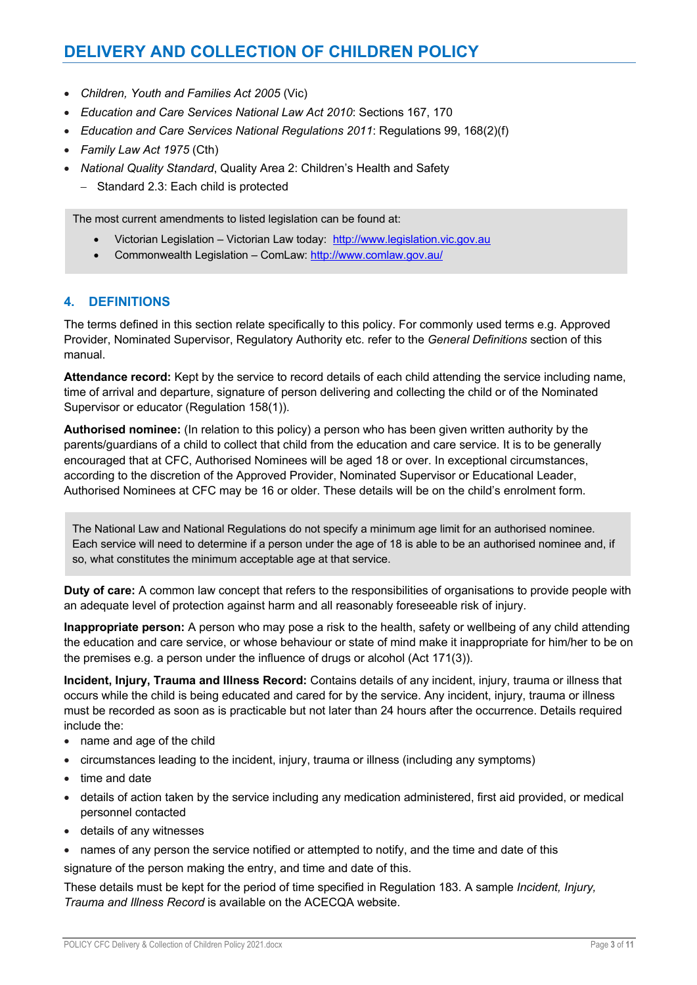# **DELIVERY AND COLLECTION OF CHILDREN POLICY**

- *Children, Youth and Families Act 2005* (Vic)
- *Education and Care Services National Law Act 2010*: Sections 167, 170
- *Education and Care Services National Regulations 2011*: Regulations 99, 168(2)(f)
- *Family Law Act 1975* (Cth)
- *National Quality Standard*, Quality Area 2: Children's Health and Safety
	- Standard 2.3: Each child is protected

The most current amendments to listed legislation can be found at:

- Victorian Legislation Victorian Law today: http://www.legislation.vic.gov.au
- Commonwealth Legislation ComLaw: http://www.comlaw.gov.au/

### **4. DEFINITIONS**

The terms defined in this section relate specifically to this policy. For commonly used terms e.g. Approved Provider, Nominated Supervisor, Regulatory Authority etc. refer to the *General Definitions* section of this manual.

**Attendance record:** Kept by the service to record details of each child attending the service including name, time of arrival and departure, signature of person delivering and collecting the child or of the Nominated Supervisor or educator (Regulation 158(1)).

**Authorised nominee:** (In relation to this policy) a person who has been given written authority by the parents/guardians of a child to collect that child from the education and care service. It is to be generally encouraged that at CFC, Authorised Nominees will be aged 18 or over. In exceptional circumstances, according to the discretion of the Approved Provider, Nominated Supervisor or Educational Leader, Authorised Nominees at CFC may be 16 or older. These details will be on the child's enrolment form.

The National Law and National Regulations do not specify a minimum age limit for an authorised nominee. Each service will need to determine if a person under the age of 18 is able to be an authorised nominee and, if so, what constitutes the minimum acceptable age at that service.

**Duty of care:** A common law concept that refers to the responsibilities of organisations to provide people with an adequate level of protection against harm and all reasonably foreseeable risk of injury.

**Inappropriate person:** A person who may pose a risk to the health, safety or wellbeing of any child attending the education and care service, or whose behaviour or state of mind make it inappropriate for him/her to be on the premises e.g. a person under the influence of drugs or alcohol (Act 171(3)).

**Incident, Injury, Trauma and Illness Record:** Contains details of any incident, injury, trauma or illness that occurs while the child is being educated and cared for by the service. Any incident, injury, trauma or illness must be recorded as soon as is practicable but not later than 24 hours after the occurrence. Details required include the:

- name and age of the child
- circumstances leading to the incident, injury, trauma or illness (including any symptoms)
- time and date
- details of action taken by the service including any medication administered, first aid provided, or medical personnel contacted
- details of any witnesses
- names of any person the service notified or attempted to notify, and the time and date of this

signature of the person making the entry, and time and date of this.

These details must be kept for the period of time specified in Regulation 183. A sample *Incident, Injury, Trauma and Illness Record* is available on the ACECQA website.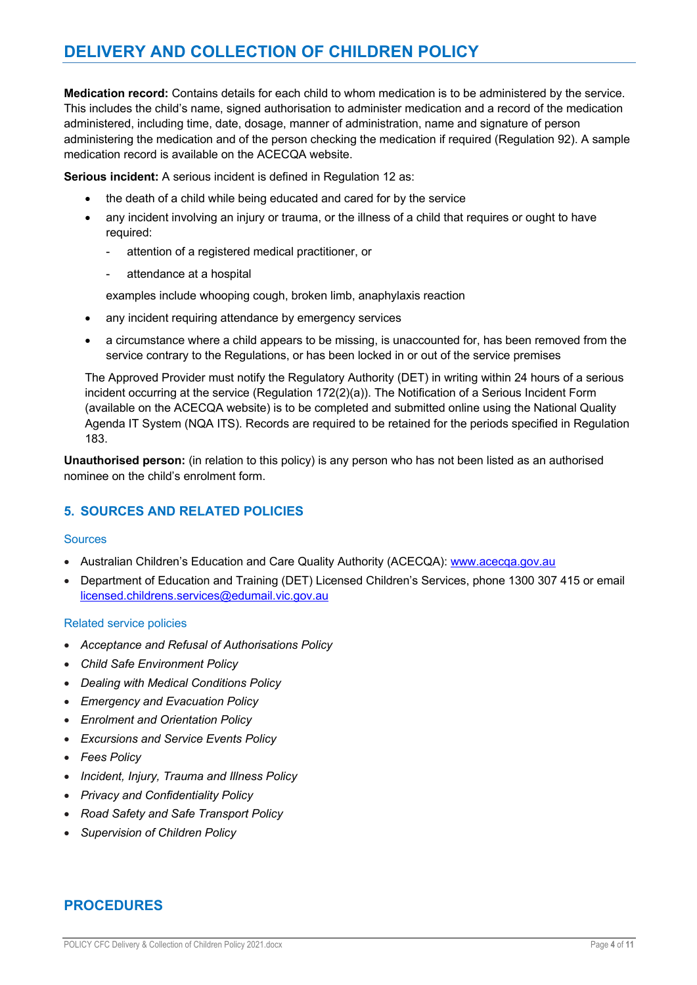# **DELIVERY AND COLLECTION OF CHILDREN POLICY**

**Medication record:** Contains details for each child to whom medication is to be administered by the service. This includes the child's name, signed authorisation to administer medication and a record of the medication administered, including time, date, dosage, manner of administration, name and signature of person administering the medication and of the person checking the medication if required (Regulation 92). A sample medication record is available on the ACECQA website.

**Serious incident:** A serious incident is defined in Regulation 12 as:

- the death of a child while being educated and cared for by the service
- any incident involving an injury or trauma, or the illness of a child that requires or ought to have required:
	- attention of a registered medical practitioner, or
	- attendance at a hospital

examples include whooping cough, broken limb, anaphylaxis reaction

- any incident requiring attendance by emergency services
- a circumstance where a child appears to be missing, is unaccounted for, has been removed from the service contrary to the Regulations, or has been locked in or out of the service premises

The Approved Provider must notify the Regulatory Authority (DET) in writing within 24 hours of a serious incident occurring at the service (Regulation 172(2)(a)). The Notification of a Serious Incident Form (available on the ACECQA website) is to be completed and submitted online using the National Quality Agenda IT System (NQA ITS). Records are required to be retained for the periods specified in Regulation 183.

**Unauthorised person:** (in relation to this policy) is any person who has not been listed as an authorised nominee on the child's enrolment form.

## **5. SOURCES AND RELATED POLICIES**

### **Sources**

- Australian Children's Education and Care Quality Authority (ACECQA): www.acecqa.gov.au
- Department of Education and Training (DET) Licensed Children's Services, phone 1300 307 415 or email licensed.childrens.services@edumail.vic.gov.au

### Related service policies

- *Acceptance and Refusal of Authorisations Policy*
- *Child Safe Environment Policy*
- *Dealing with Medical Conditions Policy*
- *Emergency and Evacuation Policy*
- *Enrolment and Orientation Policy*
- *Excursions and Service Events Policy*
- *Fees Policy*
- *Incident, Injury, Trauma and Illness Policy*
- *Privacy and Confidentiality Policy*
- *Road Safety and Safe Transport Policy*
- *Supervision of Children Policy*

## **PROCEDURES**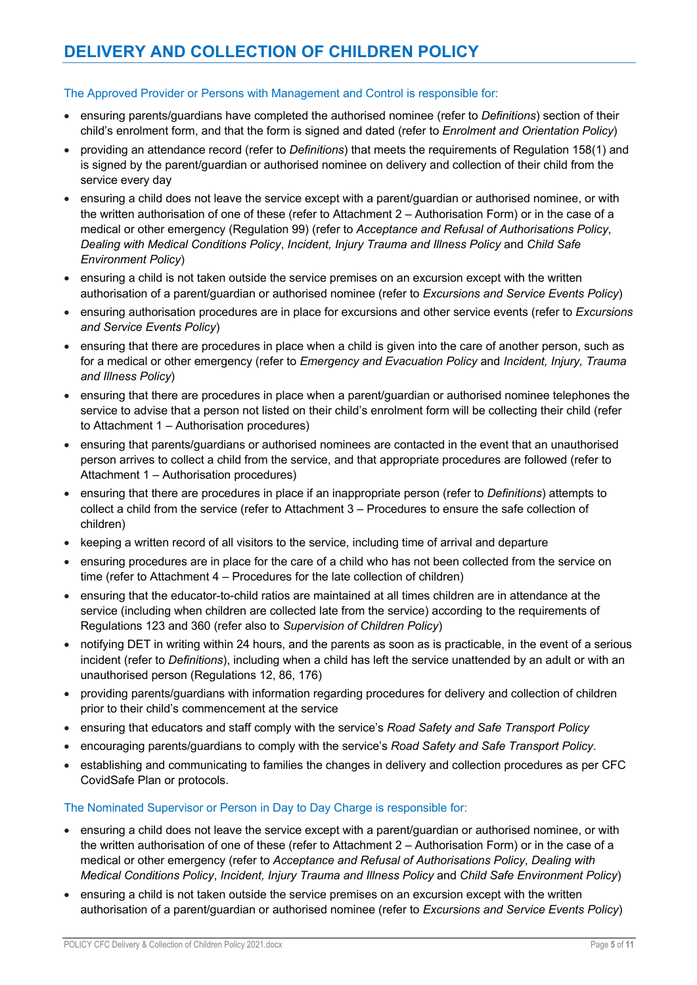### The Approved Provider or Persons with Management and Control is responsible for:

- ensuring parents/guardians have completed the authorised nominee (refer to *Definitions*) section of their child's enrolment form, and that the form is signed and dated (refer to *Enrolment and Orientation Policy*)
- providing an attendance record (refer to *Definitions*) that meets the requirements of Regulation 158(1) and is signed by the parent/guardian or authorised nominee on delivery and collection of their child from the service every day
- ensuring a child does not leave the service except with a parent/guardian or authorised nominee, or with the written authorisation of one of these (refer to Attachment 2 – Authorisation Form) or in the case of a medical or other emergency (Regulation 99) (refer to *Acceptance and Refusal of Authorisations Policy*, *Dealing with Medical Conditions Policy*, *Incident, Injury Trauma and Illness Policy* and *Child Safe Environment Policy*)
- ensuring a child is not taken outside the service premises on an excursion except with the written authorisation of a parent/guardian or authorised nominee (refer to *Excursions and Service Events Policy*)
- ensuring authorisation procedures are in place for excursions and other service events (refer to *Excursions and Service Events Policy*)
- ensuring that there are procedures in place when a child is given into the care of another person, such as for a medical or other emergency (refer to *Emergency and Evacuation Policy* and *Incident, Injury, Trauma and Illness Policy*)
- ensuring that there are procedures in place when a parent/guardian or authorised nominee telephones the service to advise that a person not listed on their child's enrolment form will be collecting their child (refer to Attachment 1 – Authorisation procedures)
- ensuring that parents/guardians or authorised nominees are contacted in the event that an unauthorised person arrives to collect a child from the service, and that appropriate procedures are followed (refer to Attachment 1 – Authorisation procedures)
- ensuring that there are procedures in place if an inappropriate person (refer to *Definitions*) attempts to collect a child from the service (refer to Attachment 3 – Procedures to ensure the safe collection of children)
- keeping a written record of all visitors to the service, including time of arrival and departure
- ensuring procedures are in place for the care of a child who has not been collected from the service on time (refer to Attachment 4 – Procedures for the late collection of children)
- ensuring that the educator-to-child ratios are maintained at all times children are in attendance at the service (including when children are collected late from the service) according to the requirements of Regulations 123 and 360 (refer also to *Supervision of Children Policy*)
- notifying DET in writing within 24 hours, and the parents as soon as is practicable, in the event of a serious incident (refer to *Definitions*), including when a child has left the service unattended by an adult or with an unauthorised person (Regulations 12, 86, 176)
- providing parents/guardians with information regarding procedures for delivery and collection of children prior to their child's commencement at the service
- ensuring that educators and staff comply with the service's *Road Safety and Safe Transport Policy*
- encouraging parents/guardians to comply with the service's *Road Safety and Safe Transport Policy*.
- establishing and communicating to families the changes in delivery and collection procedures as per CFC CovidSafe Plan or protocols.

### The Nominated Supervisor or Person in Day to Day Charge is responsible for:

- ensuring a child does not leave the service except with a parent/guardian or authorised nominee, or with the written authorisation of one of these (refer to Attachment 2 – Authorisation Form) or in the case of a medical or other emergency (refer to *Acceptance and Refusal of Authorisations Policy*, *Dealing with Medical Conditions Policy*, *Incident, Injury Trauma and Illness Policy* and *Child Safe Environment Policy*)
- ensuring a child is not taken outside the service premises on an excursion except with the written authorisation of a parent/guardian or authorised nominee (refer to *Excursions and Service Events Policy*)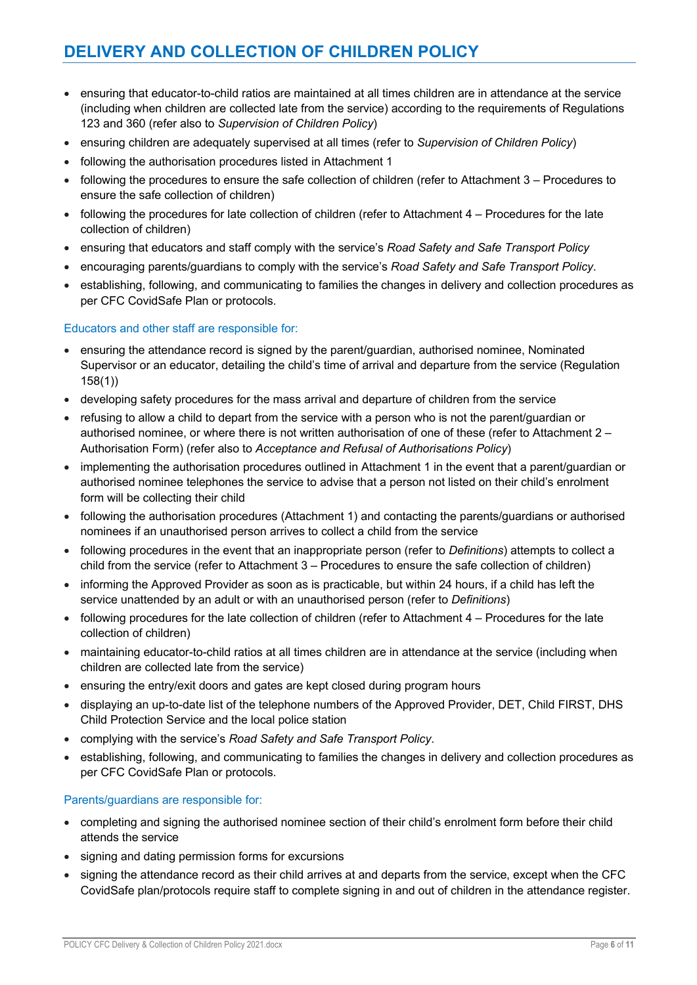- ensuring that educator-to-child ratios are maintained at all times children are in attendance at the service (including when children are collected late from the service) according to the requirements of Regulations 123 and 360 (refer also to *Supervision of Children Policy*)
- ensuring children are adequately supervised at all times (refer to *Supervision of Children Policy*)
- following the authorisation procedures listed in Attachment 1
- following the procedures to ensure the safe collection of children (refer to Attachment 3 Procedures to ensure the safe collection of children)
- following the procedures for late collection of children (refer to Attachment 4 Procedures for the late collection of children)
- ensuring that educators and staff comply with the service's *Road Safety and Safe Transport Policy*
- encouraging parents/guardians to comply with the service's *Road Safety and Safe Transport Policy*.
- establishing, following, and communicating to families the changes in delivery and collection procedures as per CFC CovidSafe Plan or protocols.

### Educators and other staff are responsible for:

- ensuring the attendance record is signed by the parent/guardian, authorised nominee, Nominated Supervisor or an educator, detailing the child's time of arrival and departure from the service (Regulation 158(1))
- developing safety procedures for the mass arrival and departure of children from the service
- refusing to allow a child to depart from the service with a person who is not the parent/guardian or authorised nominee, or where there is not written authorisation of one of these (refer to Attachment 2 – Authorisation Form) (refer also to *Acceptance and Refusal of Authorisations Policy*)
- implementing the authorisation procedures outlined in Attachment 1 in the event that a parent/guardian or authorised nominee telephones the service to advise that a person not listed on their child's enrolment form will be collecting their child
- following the authorisation procedures (Attachment 1) and contacting the parents/guardians or authorised nominees if an unauthorised person arrives to collect a child from the service
- following procedures in the event that an inappropriate person (refer to *Definitions*) attempts to collect a child from the service (refer to Attachment 3 – Procedures to ensure the safe collection of children)
- informing the Approved Provider as soon as is practicable, but within 24 hours, if a child has left the service unattended by an adult or with an unauthorised person (refer to *Definitions*)
- following procedures for the late collection of children (refer to Attachment 4 Procedures for the late collection of children)
- maintaining educator-to-child ratios at all times children are in attendance at the service (including when children are collected late from the service)
- ensuring the entry/exit doors and gates are kept closed during program hours
- displaying an up-to-date list of the telephone numbers of the Approved Provider, DET, Child FIRST, DHS Child Protection Service and the local police station
- complying with the service's *Road Safety and Safe Transport Policy*.
- establishing, following, and communicating to families the changes in delivery and collection procedures as per CFC CovidSafe Plan or protocols.

### Parents/guardians are responsible for:

- completing and signing the authorised nominee section of their child's enrolment form before their child attends the service
- signing and dating permission forms for excursions
- signing the attendance record as their child arrives at and departs from the service, except when the CFC CovidSafe plan/protocols require staff to complete signing in and out of children in the attendance register.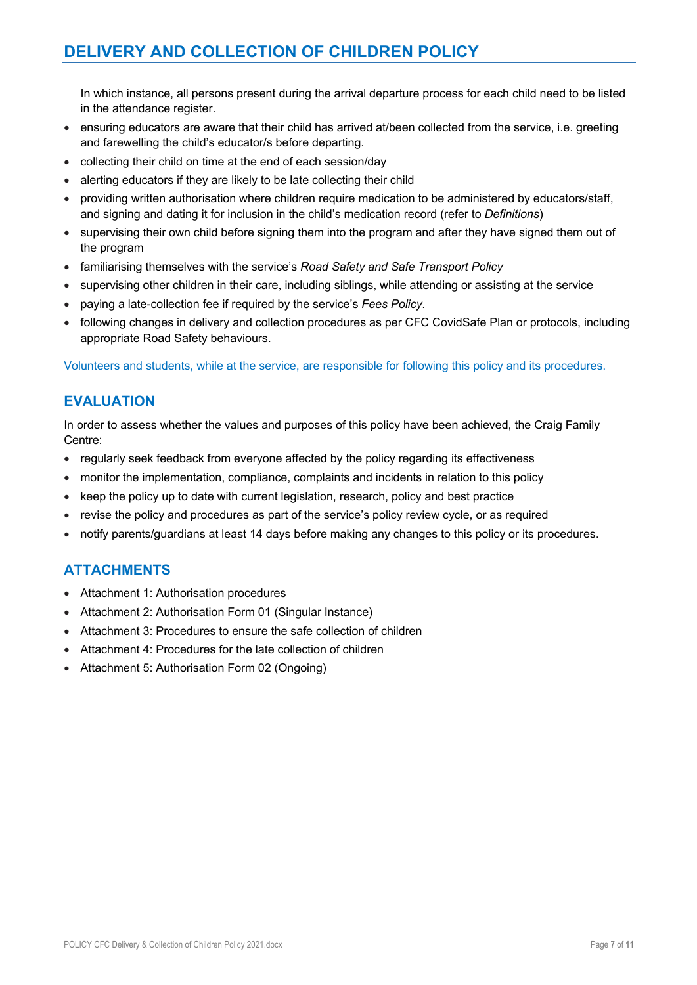# **DELIVERY AND COLLECTION OF CHILDREN POLICY**

In which instance, all persons present during the arrival departure process for each child need to be listed in the attendance register.

- ensuring educators are aware that their child has arrived at/been collected from the service, i.e. greeting and farewelling the child's educator/s before departing.
- collecting their child on time at the end of each session/day
- alerting educators if they are likely to be late collecting their child
- providing written authorisation where children require medication to be administered by educators/staff, and signing and dating it for inclusion in the child's medication record (refer to *Definitions*)
- supervising their own child before signing them into the program and after they have signed them out of the program
- familiarising themselves with the service's *Road Safety and Safe Transport Policy*
- supervising other children in their care, including siblings, while attending or assisting at the service
- paying a late-collection fee if required by the service's *Fees Policy*.
- following changes in delivery and collection procedures as per CFC CovidSafe Plan or protocols, including appropriate Road Safety behaviours.

Volunteers and students, while at the service, are responsible for following this policy and its procedures.

## **EVALUATION**

In order to assess whether the values and purposes of this policy have been achieved, the Craig Family Centre:

- regularly seek feedback from everyone affected by the policy regarding its effectiveness
- monitor the implementation, compliance, complaints and incidents in relation to this policy
- keep the policy up to date with current legislation, research, policy and best practice
- revise the policy and procedures as part of the service's policy review cycle, or as required
- notify parents/guardians at least 14 days before making any changes to this policy or its procedures.

## **ATTACHMENTS**

- Attachment 1: Authorisation procedures
- Attachment 2: Authorisation Form 01 (Singular Instance)
- Attachment 3: Procedures to ensure the safe collection of children
- Attachment 4: Procedures for the late collection of children
- Attachment 5: Authorisation Form 02 (Ongoing)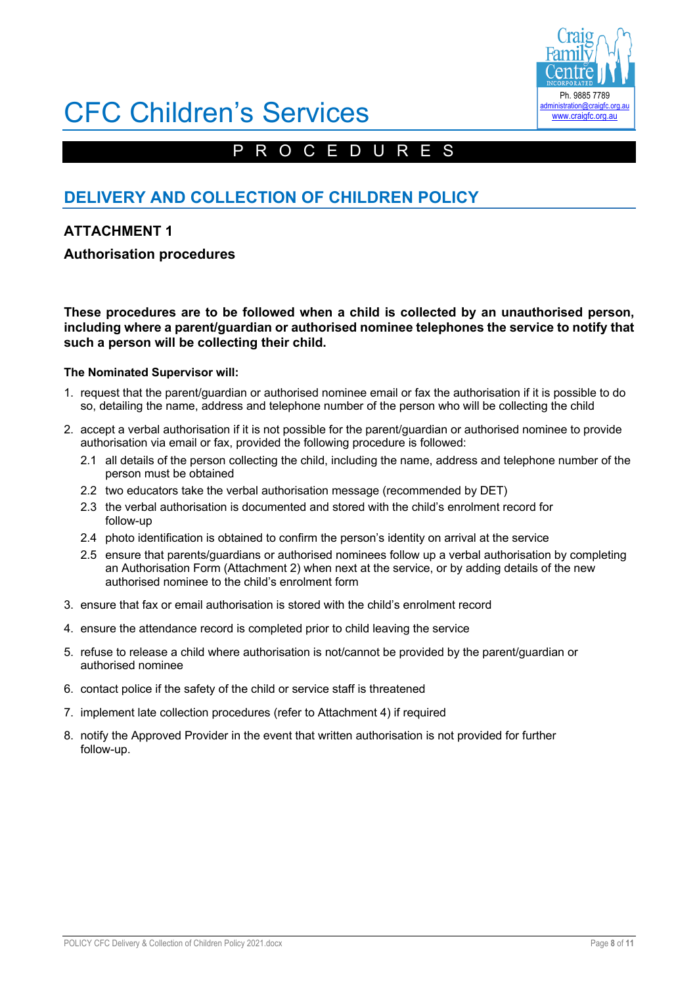

# CFC Children's Services

# PROCEDURES

# **DELIVERY AND COLLECTION OF CHILDREN POLICY**

## **ATTACHMENT 1**

## **Authorisation procedures**

**These procedures are to be followed when a child is collected by an unauthorised person, including where a parent/guardian or authorised nominee telephones the service to notify that such a person will be collecting their child.**

### **The Nominated Supervisor will:**

- 1. request that the parent/guardian or authorised nominee email or fax the authorisation if it is possible to do so, detailing the name, address and telephone number of the person who will be collecting the child
- 2. accept a verbal authorisation if it is not possible for the parent/guardian or authorised nominee to provide authorisation via email or fax, provided the following procedure is followed:
	- 2.1 all details of the person collecting the child, including the name, address and telephone number of the person must be obtained
	- 2.2 two educators take the verbal authorisation message (recommended by DET)
	- 2.3 the verbal authorisation is documented and stored with the child's enrolment record for follow-up
	- 2.4 photo identification is obtained to confirm the person's identity on arrival at the service
	- 2.5 ensure that parents/guardians or authorised nominees follow up a verbal authorisation by completing an Authorisation Form (Attachment 2) when next at the service, or by adding details of the new authorised nominee to the child's enrolment form
- 3. ensure that fax or email authorisation is stored with the child's enrolment record
- 4. ensure the attendance record is completed prior to child leaving the service
- 5. refuse to release a child where authorisation is not/cannot be provided by the parent/guardian or authorised nominee
- 6. contact police if the safety of the child or service staff is threatened
- 7. implement late collection procedures (refer to Attachment 4) if required
- 8. notify the Approved Provider in the event that written authorisation is not provided for further follow-up.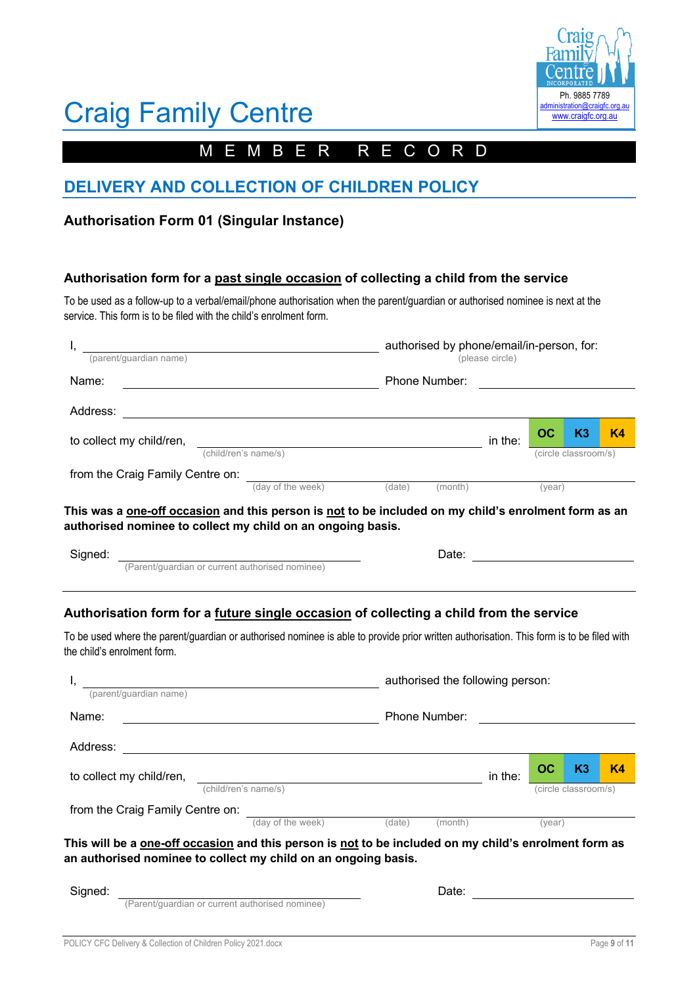

# Craig Family Centre

# MEMBER RECORD

## **DELIVERY AND COLLECTION OF CHILDREN POLICY**

## **Authorisation Form 01 (Singular Instance)**

### **Authorisation form for a past single occasion of collecting a child from the service**

To be used as a follow-up to a verbal/email/phone authorisation when the parent/guardian or authorised nominee is next at the service. This form is to be filed with the child's enrolment form.

| (parent/guardian name)           |                      |               | authorised by phone/email/in-person, for:<br>(please circle) |         |                      |    |                |  |  |
|----------------------------------|----------------------|---------------|--------------------------------------------------------------|---------|----------------------|----|----------------|--|--|
| Name:                            |                      | Phone Number: |                                                              |         |                      |    |                |  |  |
| Address:                         |                      |               |                                                              |         |                      |    |                |  |  |
| to collect my child/ren,         |                      |               |                                                              | in the: | $_{\rm oc}$          | K3 | K <sub>4</sub> |  |  |
|                                  | (child/ren's name/s) |               |                                                              |         | (circle classroom/s) |    |                |  |  |
| from the Craig Family Centre on: |                      |               |                                                              |         |                      |    |                |  |  |
|                                  | (day of the week)    | (date)        | (month)                                                      |         | (year)               |    |                |  |  |

**This was a one-off occasion and this person is not to be included on my child's enrolment form as an authorised nominee to collect my child on an ongoing basis.**

| Signed: |                                                 | Jate |  |
|---------|-------------------------------------------------|------|--|
|         | (Parent/guardian or current authorised nominee) |      |  |

### **Authorisation form for a future single occasion of collecting a child from the service**

To be used where the parent/guardian or authorised nominee is able to provide prior written authorisation. This form is to be filed with the child's enrolment form.

| (parent/quardian name)                                                                                                                                                                |                                                 | authorised the following person: |               |         |                      |    |           |
|---------------------------------------------------------------------------------------------------------------------------------------------------------------------------------------|-------------------------------------------------|----------------------------------|---------------|---------|----------------------|----|-----------|
| Name:                                                                                                                                                                                 |                                                 |                                  | Phone Number: |         |                      |    |           |
| Address:                                                                                                                                                                              |                                                 |                                  |               |         |                      |    |           |
| to collect my child/ren,                                                                                                                                                              |                                                 |                                  |               | in the: | OC                   | K3 | <b>K4</b> |
|                                                                                                                                                                                       | (child/ren's name/s)                            |                                  |               |         | (circle classroom/s) |    |           |
| from the Craig Family Centre on:                                                                                                                                                      |                                                 |                                  |               |         |                      |    |           |
|                                                                                                                                                                                       | (day of the week)                               | (date)                           | (month)       | (vear)  |                      |    |           |
| This will be a <u>one-off occasion</u> and this person is <u>not</u> to be included on my child's enrolment form as<br>an authorised nominee to collect my child on an ongoing basis. |                                                 |                                  |               |         |                      |    |           |
| Signed:                                                                                                                                                                               |                                                 |                                  | Date:         |         |                      |    |           |
|                                                                                                                                                                                       | (Parent/quardian or current authorised nominee) |                                  |               |         |                      |    |           |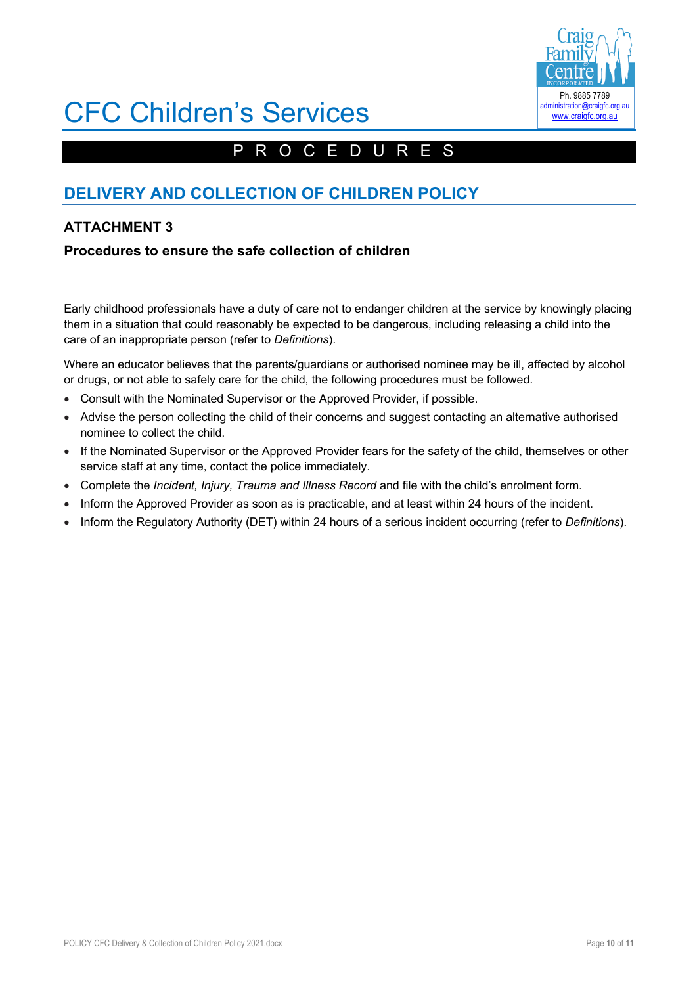

# CFC Children's Services

# PROCEDURES

# **DELIVERY AND COLLECTION OF CHILDREN POLICY**

## **ATTACHMENT 3**

## **Procedures to ensure the safe collection of children**

Early childhood professionals have a duty of care not to endanger children at the service by knowingly placing them in a situation that could reasonably be expected to be dangerous, including releasing a child into the care of an inappropriate person (refer to *Definitions*).

Where an educator believes that the parents/guardians or authorised nominee may be ill, affected by alcohol or drugs, or not able to safely care for the child, the following procedures must be followed.

- Consult with the Nominated Supervisor or the Approved Provider, if possible.
- Advise the person collecting the child of their concerns and suggest contacting an alternative authorised nominee to collect the child.
- If the Nominated Supervisor or the Approved Provider fears for the safety of the child, themselves or other service staff at any time, contact the police immediately.
- Complete the *Incident, Injury, Trauma and Illness Record* and file with the child's enrolment form.
- Inform the Approved Provider as soon as is practicable, and at least within 24 hours of the incident.
- Inform the Regulatory Authority (DET) within 24 hours of a serious incident occurring (refer to *Definitions*).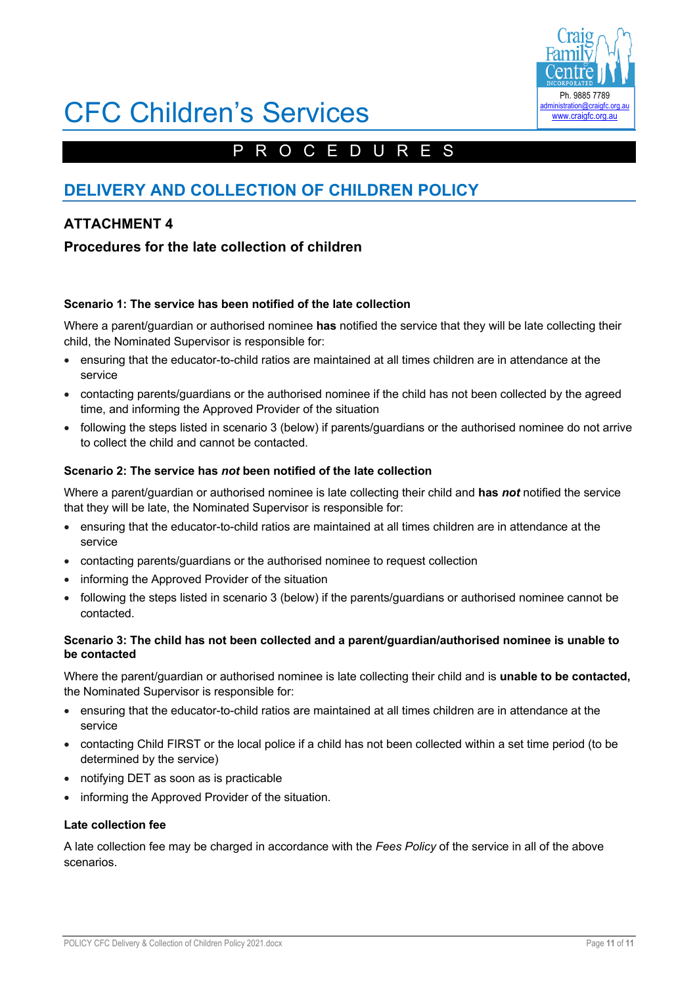

# CFC Children's Services

# PROCEDURES

# **DELIVERY AND COLLECTION OF CHILDREN POLICY**

## **ATTACHMENT 4**

## **Procedures for the late collection of children**

### **Scenario 1: The service has been notified of the late collection**

Where a parent/guardian or authorised nominee **has** notified the service that they will be late collecting their child, the Nominated Supervisor is responsible for:

- ensuring that the educator-to-child ratios are maintained at all times children are in attendance at the service
- contacting parents/guardians or the authorised nominee if the child has not been collected by the agreed time, and informing the Approved Provider of the situation
- following the steps listed in scenario 3 (below) if parents/guardians or the authorised nominee do not arrive to collect the child and cannot be contacted.

### **Scenario 2: The service has** *not* **been notified of the late collection**

Where a parent/guardian or authorised nominee is late collecting their child and **has** *not* notified the service that they will be late, the Nominated Supervisor is responsible for:

- ensuring that the educator-to-child ratios are maintained at all times children are in attendance at the service
- contacting parents/guardians or the authorised nominee to request collection
- informing the Approved Provider of the situation
- following the steps listed in scenario 3 (below) if the parents/guardians or authorised nominee cannot be contacted.

### **Scenario 3: The child has not been collected and a parent/guardian/authorised nominee is unable to be contacted**

Where the parent/guardian or authorised nominee is late collecting their child and is **unable to be contacted,** the Nominated Supervisor is responsible for:

- ensuring that the educator-to-child ratios are maintained at all times children are in attendance at the service
- contacting Child FIRST or the local police if a child has not been collected within a set time period (to be determined by the service)
- notifying DET as soon as is practicable
- informing the Approved Provider of the situation.

### **Late collection fee**

A late collection fee may be charged in accordance with the *Fees Policy* of the service in all of the above scenarios.